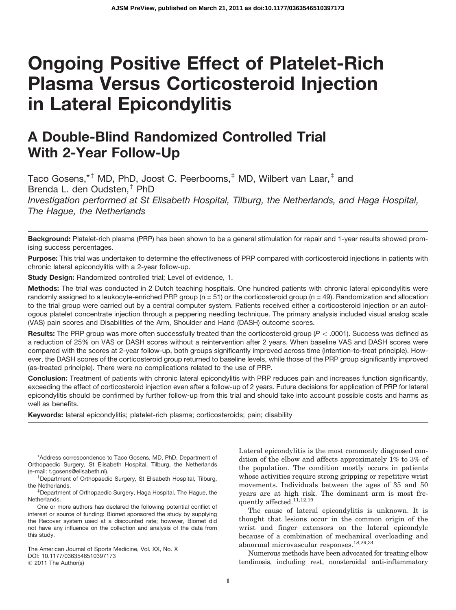# Ongoing Positive Effect of Platelet-Rich Plasma Versus Corticosteroid Injection in Lateral Epicondylitis

# A Double-Blind Randomized Controlled Trial With 2-Year Follow-Up

Taco Gosens,\*† MD, PhD, Joost C. Peerbooms,<sup>‡</sup> MD, Wilbert van Laar,<sup>‡</sup> and Brenda L. den Oudsten.<sup>†</sup> PhD *Investigation performed at St Elisabeth Hospital, Tilburg, the Netherlands, and Haga Hospital, The Hague, the Netherlands*

Background: Platelet-rich plasma (PRP) has been shown to be a general stimulation for repair and 1-year results showed promising success percentages.

Purpose: This trial was undertaken to determine the effectiveness of PRP compared with corticosteroid injections in patients with chronic lateral epicondylitis with a 2-year follow-up.

Study Design: Randomized controlled trial; Level of evidence, 1.

Methods: The trial was conducted in 2 Dutch teaching hospitals. One hundred patients with chronic lateral epicondylitis were randomly assigned to a leukocyte-enriched PRP group ( $n = 51$ ) or the corticosteroid group ( $n = 49$ ). Randomization and allocation to the trial group were carried out by a central computer system. Patients received either a corticosteroid injection or an autologous platelet concentrate injection through a peppering needling technique. The primary analysis included visual analog scale (VAS) pain scores and Disabilities of the Arm, Shoulder and Hand (DASH) outcome scores.

Results: The PRP group was more often successfully treated than the corticosteroid group ( $P < .0001$ ). Success was defined as a reduction of 25% on VAS or DASH scores without a reintervention after 2 years. When baseline VAS and DASH scores were compared with the scores at 2-year follow-up, both groups significantly improved across time (intention-to-treat principle). However, the DASH scores of the corticosteroid group returned to baseline levels, while those of the PRP group significantly improved (as-treated principle). There were no complications related to the use of PRP.

Conclusion: Treatment of patients with chronic lateral epicondylitis with PRP reduces pain and increases function significantly, exceeding the effect of corticosteroid injection even after a follow-up of 2 years. Future decisions for application of PRP for lateral epicondylitis should be confirmed by further follow-up from this trial and should take into account possible costs and harms as well as benefits.

Keywords: lateral epicondylitis; platelet-rich plasma; corticosteroids; pain; disability

The American Journal of Sports Medicine, Vol. XX, No. X DOI: 10.1177/0363546510397173 © 2011 The Author(s)

Lateral epicondylitis is the most commonly diagnosed condition of the elbow and affects approximately 1% to 3% of the population. The condition mostly occurs in patients whose activities require strong gripping or repetitive wrist movements. Individuals between the ages of 35 and 50 years are at high risk. The dominant arm is most frequently affected.  $^{11,12,19}$ 

The cause of lateral epicondylitis is unknown. It is thought that lesions occur in the common origin of the wrist and finger extensors on the lateral epicondyle because of a combination of mechanical overloading and abnormal microvascular responses.18,29,34

Numerous methods have been advocated for treating elbow tendinosis, including rest, nonsteroidal anti-inflammatory

<sup>\*</sup>Address correspondence to Taco Gosens, MD, PhD, Department of Orthopaedic Surgery, St Elisabeth Hospital, Tilburg, the Netherlands (e-mail: t.gosens@elisabeth.nl).

Department of Orthopaedic Surgery, St Elisabeth Hospital, Tilburg, the Netherlands.

Department of Orthopaedic Surgery, Haga Hospital, The Hague, the Netherlands.

One or more authors has declared the following potential conflict of interest or source of funding: Biomet sponsored the study by supplying the Recover system used at a discounted rate; however, Biomet did not have any influence on the collection and analysis of the data from this study.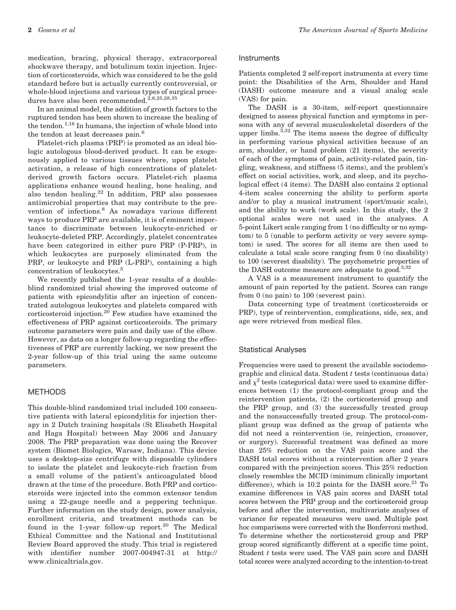medication, bracing, physical therapy, extracorporeal shockwave therapy, and botulinum toxin injection. Injection of corticosteroids, which was considered to be the gold standard before but is actually currently controversial, or whole-blood injections and various types of surgical procedures have also been recommended.<sup>2,6,25,28,35</sup>

In an animal model, the addition of growth factors to the ruptured tendon has been shown to increase the healing of the tendon.<sup>1,16</sup> In humans, the injection of whole blood into the tendon at least decreases pain.<sup>6</sup>

Platelet-rich plasma (PRP) is promoted as an ideal biologic autologous blood-derived product. It can be exogenously applied to various tissues where, upon platelet activation, a release of high concentrations of plateletderived growth factors occurs. Platelet-rich plasma applications enhance wound healing, bone healing, and also tendon healing. $^{22}$  In addition, PRP also possesses antimicrobial properties that may contribute to the prevention of infections.<sup>8</sup> As nowadays various different ways to produce PRP are available, it is of eminent importance to discriminate between leukocyte-enriched or leukocyte-deleted PRP. Accordingly, platelet concentrates have been categorized in either pure PRP (P-PRP), in which leukocytes are purposely eliminated from the PRP, or leukocyte and PRP (L-PRP), containing a high concentration of leukocytes.<sup>5</sup>

We recently published the 1-year results of a doubleblind randomized trial showing the improved outcome of patients with epicondylitis after an injection of concentrated autologous leukocytes and platelets compared with corticosteroid injection.<sup>20</sup> Few studies have examined the effectiveness of PRP against corticosteroids. The primary outcome parameters were pain and daily use of the elbow. However, as data on a longer follow-up regarding the effectiveness of PRP are currently lacking, we now present the 2-year follow-up of this trial using the same outcome parameters.

#### METHODS

This double-blind randomized trial included 100 consecutive patients with lateral epicondylitis for injection therapy in 2 Dutch training hospitals (St Elisabeth Hospital and Haga Hospital) between May 2006 and January 2008. The PRP preparation was done using the Recover system (Biomet Biologics, Warsaw, Indiana). This device uses a desktop-size centrifuge with disposable cylinders to isolate the platelet and leukocyte-rich fraction from a small volume of the patient's anticoagulated blood drawn at the time of the procedure. Both PRP and corticosteroids were injected into the common extensor tendon using a 22-gauge needle and a peppering technique. Further information on the study design, power analysis, enrollment criteria, and treatment methods can be found in the 1-year follow-up report.<sup>20</sup> The Medical Ethical Committee and the National and Institutional Review Board approved the study. This trial is registered with identifier number 2007-004947-31 at http:// www.clinicaltrials.gov.

#### **Instruments**

Patients completed 2 self-report instruments at every time point: the Disabilities of the Arm, Shoulder and Hand (DASH) outcome measure and a visual analog scale (VAS) for pain.

The DASH is a 30-item, self-report questionnaire designed to assess physical function and symptoms in persons with any of several musculoskeletal disorders of the upper limbs. $3,32$  The items assess the degree of difficulty in performing various physical activities because of an arm, shoulder, or hand problem (21 items), the severity of each of the symptoms of pain, activity-related pain, tingling, weakness, and stiffness (5 items), and the problem's effect on social activities, work, and sleep, and its psychological effect (4 items). The DASH also contains 2 optional 4-item scales concerning the ability to perform sports and/or to play a musical instrument (sport/music scale), and the ability to work (work scale). In this study, the 2 optional scales were not used in the analyses. A 5-point Likert scale ranging from 1 (no difficulty or no symptom) to 5 (unable to perform activity or very severe symptom) is used. The scores for all items are then used to calculate a total scale score ranging from 0 (no disability) to 100 (severest disability). The psychometric properties of the DASH outcome measure are adequate to good.<sup>3,32</sup>

A VAS is a measurement instrument to quantify the amount of pain reported by the patient. Scores can range from 0 (no pain) to 100 (severest pain).

Data concerning type of treatment (corticosteroids or PRP), type of reintervention, complications, side, sex, and age were retrieved from medical files.

### Statistical Analyses

Frequencies were used to present the available sociodemographic and clinical data. Student  $t$  tests (continuous data) and  $\chi^2$  tests (categorical data) were used to examine differences between (1) the protocol-compliant group and the reintervention patients, (2) the corticosteroid group and the PRP group, and (3) the successfully treated group and the nonsuccessfully treated group. The protocol-compliant group was defined as the group of patients who did not need a reintervention (ie, reinjection, crossover, or surgery). Successful treatment was defined as more than 25% reduction on the VAS pain score and the DASH total scores without a reintervention after 2 years compared with the preinjection scores. This 25% reduction closely resembles the MCID (minimum clinically important difference), which is  $10.2$  points for the DASH score.<sup>21</sup> To examine differences in VAS pain scores and DASH total scores between the PRP group and the corticosteroid group before and after the intervention, multivariate analyses of variance for repeated measures were used. Multiple post hoc comparisons were corrected with the Bonferroni method. To determine whether the corticosteroid group and PRP group scored significantly different at a specific time point, Student t tests were used. The VAS pain score and DASH total scores were analyzed according to the intention-to-treat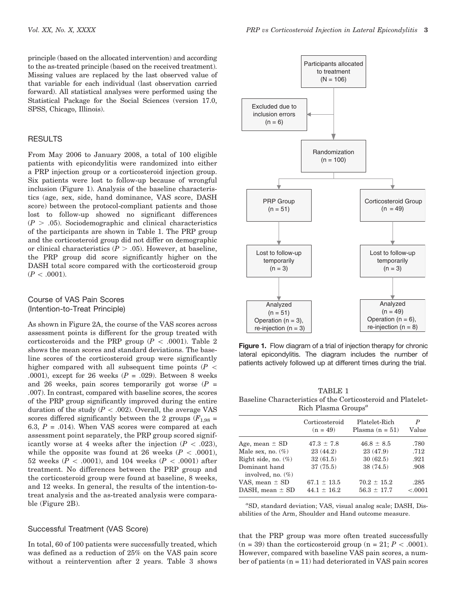principle (based on the allocated intervention) and according to the as-treated principle (based on the received treatment). Missing values are replaced by the last observed value of that variable for each individual (last observation carried forward). All statistical analyses were performed using the Statistical Package for the Social Sciences (version 17.0, SPSS, Chicago, Illinois).

# **RESULTS**

From May 2006 to January 2008, a total of 100 eligible patients with epicondylitis were randomized into either a PRP injection group or a corticosteroid injection group. Six patients were lost to follow-up because of wrongful inclusion (Figure 1). Analysis of the baseline characteristics (age, sex, side, hand dominance, VAS score, DASH score) between the protocol-compliant patients and those lost to follow-up showed no significant differences  $(P > .05)$ . Sociodemographic and clinical characteristics of the participants are shown in Table 1. The PRP group and the corticosteroid group did not differ on demographic or clinical characteristics ( $\overline{P} > .05$ ). However, at baseline, the PRP group did score significantly higher on the DASH total score compared with the corticosteroid group  $(P < .0001)$ .

# Course of VAS Pain Scores (Intention-to-Treat Principle)

As shown in Figure 2A, the course of the VAS scores across assessment points is different for the group treated with corticosteroids and the PRP group ( $P < .0001$ ). Table 2 shows the mean scores and standard deviations. The baseline scores of the corticosteroid group were significantly higher compared with all subsequent time points ( $P \leq$ .0001), except for 26 weeks ( $P = .029$ ). Between 8 weeks and 26 weeks, pain scores temporarily got worse  $(P =$ .007). In contrast, compared with baseline scores, the scores of the PRP group significantly improved during the entire duration of the study  $(P < .002)$ . Overall, the average VAS scores differed significantly between the 2 groups  $(F_{1.98} =$ 6.3,  $P = .014$ ). When VAS scores were compared at each assessment point separately, the PRP group scored significantly worse at 4 weeks after the injection ( $P < .023$ ), while the opposite was found at 26 weeks ( $P < .0001$ ), 52 weeks ( $P < .0001$ ), and 104 weeks ( $P < .0001$ ) after treatment. No differences between the PRP group and the corticosteroid group were found at baseline, 8 weeks, and 12 weeks. In general, the results of the intention-totreat analysis and the as-treated analysis were comparable (Figure 2B).

## Successful Treatment (VAS Score)

In total, 60 of 100 patients were successfully treated, which was defined as a reduction of 25% on the VAS pain score without a reintervention after 2 years. Table 3 shows



Figure 1. Flow diagram of a trial of injection therapy for chronic lateral epicondylitis. The diagram includes the number of patients actively followed up at different times during the trial.

TABLE 1 Baseline Characteristics of the Corticosteroid and Platelet-Rich Plasma Groups<sup> $a$ </sup>

|                                           | Corticosteroid<br>$(n = 49)$       | Platelet-Rich<br>Plasma $(n = 51)$ | P<br>Value         |
|-------------------------------------------|------------------------------------|------------------------------------|--------------------|
| Age, mean $\pm$ SD                        | $47.3 \pm 7.8$                     | $46.8 \pm 8.5$                     | .780               |
| Male sex, no. $(\%)$                      | 23(44.2)                           | 23 (47.9)                          | .712               |
| Right side, no. $(\%)$                    | 32(61.5)                           | 30(62.5)                           | .921               |
| Dominant hand<br>involved, no. $(\%)$     | 37(75.5)                           | 38 (74.5)                          | .908               |
| VAS, mean $\pm$ SD<br>DASH, mean $\pm$ SD | $67.1 \pm 13.5$<br>$44.1 \pm 16.2$ | $70.2 \pm 15.2$<br>$56.3 \pm 17.7$ | .285<br>${<}.0001$ |

a SD, standard deviation; VAS, visual analog scale; DASH, Disabilities of the Arm, Shoulder and Hand outcome measure.

that the PRP group was more often treated successfully  $(n = 39)$  than the corticosteroid group  $(n = 21; P < .0001)$ . However, compared with baseline VAS pain scores, a number of patients  $(n = 11)$  had deteriorated in VAS pain scores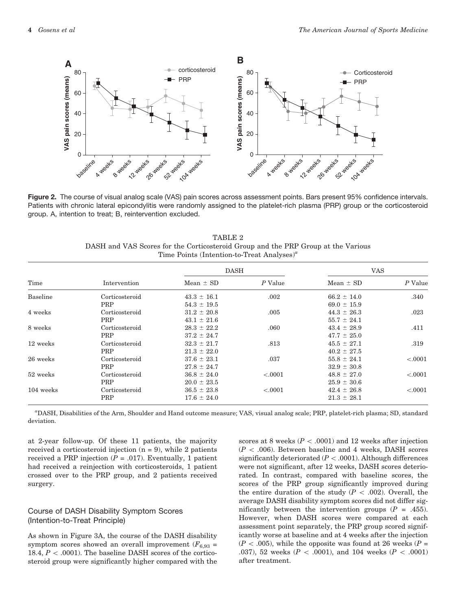

Figure 2. The course of visual analog scale (VAS) pain scores across assessment points. Bars present 95% confidence intervals. Patients with chronic lateral epicondylitis were randomly assigned to the platelet-rich plasma (PRP) group or the corticosteroid group. A, intention to treat; B, reintervention excluded.

TABLE 2 DASH and VAS Scores for the Corticosteroid Group and the PRP Group at the Various Time Points (Intention-to-Treat Analyses)<sup> $a$ </sup>

| Time      | Intervention   | <b>DASH</b>     |           | <b>VAS</b>      |           |
|-----------|----------------|-----------------|-----------|-----------------|-----------|
|           |                | Mean $\pm$ SD   | $P$ Value | Mean $\pm$ SD   | $P$ Value |
| Baseline  | Corticosteroid | $43.3 \pm 16.1$ | .002      | $66.2 \pm 14.0$ | .340      |
|           | PRP            | $54.3 \pm 19.5$ |           | $69.0 \pm 15.9$ |           |
| 4 weeks   | Corticosteroid | $31.2 \pm 20.8$ | .005      | $44.3 \pm 26.3$ | .023      |
|           | PRP            | $43.1 \pm 21.6$ |           | $55.7 \pm 24.1$ |           |
| 8 weeks   | Corticosteroid | $28.3 \pm 22.2$ | .060      | $43.4 \pm 28.9$ | .411      |
|           | PRP            | $37.2 \pm 24.7$ |           | $47.7 \pm 25.0$ |           |
| 12 weeks  | Corticosteroid | $32.3 \pm 21.7$ | .813      | $45.5 \pm 27.1$ | .319      |
|           | PRP            | $21.3 \pm 22.0$ |           | $40.2 \pm 27.5$ |           |
| 26 weeks  | Corticosteroid | $37.6 \pm 23.1$ | .037      | $55.8 \pm 24.1$ | < .0001   |
|           | PRP            | $27.8 \pm 24.7$ |           | $32.9 \pm 30.8$ |           |
| 52 weeks  | Corticosteroid | $36.8 \pm 24.0$ | < .0001   | $48.8 \pm 27.0$ | < .0001   |
|           | PRP            | $20.0 \pm 23.5$ |           | $25.9 \pm 30.6$ |           |
| 104 weeks | Corticosteroid | $36.5 \pm 23.8$ | < .0001   | $42.4 \pm 26.8$ | < .0001   |
|           | PRP            | $17.6 \pm 24.0$ |           | $21.3 \pm 28.1$ |           |

a DASH, Disabilities of the Arm, Shoulder and Hand outcome measure; VAS, visual analog scale; PRP, platelet-rich plasma; SD, standard deviation.

at 2-year follow-up. Of these 11 patients, the majority received a corticosteroid injection  $(n = 9)$ , while 2 patients received a PRP injection  $(P = .017)$ . Eventually, 1 patient had received a reinjection with corticosteroids, 1 patient crossed over to the PRP group, and 2 patients received surgery.

# Course of DASH Disability Symptom Scores (Intention-to-Treat Principle)

As shown in Figure 3A, the course of the DASH disability symptom scores showed an overall improvement ( $F_{6,93}$  = 18.4,  $P < .0001$ ). The baseline DASH scores of the corticosteroid group were significantly higher compared with the scores at 8 weeks ( $P < .0001$ ) and 12 weeks after injection  $(P \, < \, .006)$ . Between baseline and 4 weeks, DASH scores significantly deteriorated  $(P < .0001)$ . Although differences were not significant, after 12 weeks, DASH scores deteriorated. In contrast, compared with baseline scores, the scores of the PRP group significantly improved during the entire duration of the study  $(P \, < \, 002)$ . Overall, the average DASH disability symptom scores did not differ significantly between the intervention groups  $(P = .455)$ . However, when DASH scores were compared at each assessment point separately, the PRP group scored significantly worse at baseline and at 4 weeks after the injection  $(P \lt 0.005)$ , while the opposite was found at 26 weeks (P = .037), 52 weeks ( $P < .0001$ ), and 104 weeks ( $P < .0001$ ) after treatment.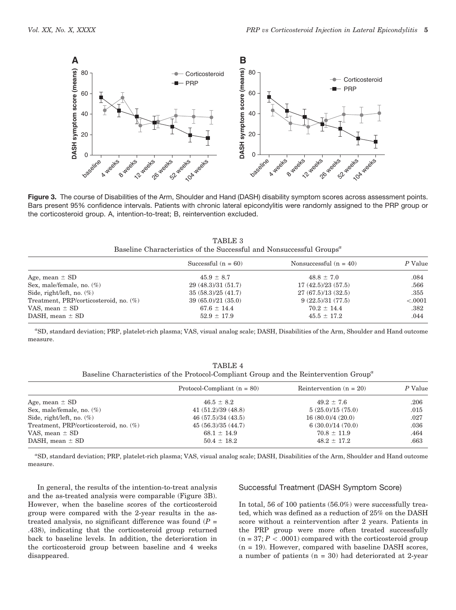

Figure 3. The course of Disabilities of the Arm, Shoulder and Hand (DASH) disability symptom scores across assessment points. Bars present 95% confidence intervals. Patients with chronic lateral epicondylitis were randomly assigned to the PRP group or the corticosteroid group. A, intention-to-treat; B, reintervention excluded.

| TABLE 3                                                                          |  |
|----------------------------------------------------------------------------------|--|
| Baseline Characteristics of the Successful and Nonsuccessful Groups <sup>a</sup> |  |

|                                        | Successful $(n = 60)$ | Nonsuccessful $(n = 40)$ | P Value |
|----------------------------------------|-----------------------|--------------------------|---------|
| Age, mean $\pm$ SD                     | $45.9 \pm 8.7$        | $48.8 \pm 7.0$           | .084    |
| Sex, male/female, no. $(\%)$           | 29(48.3)/31(51.7)     | 17(42.5)/23(57.5)        | .566    |
| Side, right/left, no. $(\%)$           | 35(58.3)/25(41.7)     | 27(67.5)/13(32.5)        | .355    |
| Treatment, PRP/corticosteroid, no. (%) | 39(65.0)/21(35.0)     | 9(22.5)/31(77.5)         | < .0001 |
| VAS, mean $\pm$ SD                     | $67.6 \pm 14.4$       | $70.2 \pm 14.4$          | .382    |
| DASH, mean $\pm$ SD                    | $52.9 \pm 17.9$       | $45.5 \pm 17.2$          | .044    |

a SD, standard deviation; PRP, platelet-rich plasma; VAS, visual analog scale; DASH, Disabilities of the Arm, Shoulder and Hand outcome measure.

| TABLE 4                                                                                            |  |
|----------------------------------------------------------------------------------------------------|--|
| Baseline Characteristics of the Protocol-Compliant Group and the Reintervention Group <sup>a</sup> |  |

|                                        | Protocol-Compliant $(n = 80)$ | Reintervention $(n = 20)$ | P Value |
|----------------------------------------|-------------------------------|---------------------------|---------|
| Age, mean $\pm$ SD                     | $46.5 \pm 8.2$                | $49.2 \pm 7.6$            | .206    |
| Sex, male/female, no. $(\%)$           | 41(51.2)/39(48.8)             | 5(25.0)/15(75.0)          | .015    |
| Side, right/left, no. $(\%)$           | 46(57.5)/34(43.5)             | 16(80.0)/4(20.0)          | .027    |
| Treatment, PRP/corticosteroid, no. (%) | 45(56.3)/35(44.7)             | 6(30.0)/14(70.0)          | .036    |
| VAS, mean $\pm$ SD                     | $68.1 \pm 14.9$               | $70.8 \pm 11.9$           | .464    |
| DASH, mean $\pm$ SD                    | $50.4 \pm 18.2$               | $48.2 \pm 17.2$           | .663    |
|                                        |                               |                           |         |

a SD, standard deviation; PRP, platelet-rich plasma; VAS, visual analog scale; DASH, Disabilities of the Arm, Shoulder and Hand outcome measure.

In general, the results of the intention-to-treat analysis and the as-treated analysis were comparable (Figure 3B). However, when the baseline scores of the corticosteroid group were compared with the 2-year results in the astreated analysis, no significant difference was found  $(P =$ .438), indicating that the corticosteroid group returned back to baseline levels. In addition, the deterioration in the corticosteroid group between baseline and 4 weeks disappeared.

#### Successful Treatment (DASH Symptom Score)

In total, 56 of 100 patients (56.0%) were successfully treated, which was defined as a reduction of 25% on the DASH score without a reintervention after 2 years. Patients in the PRP group were more often treated successfully  $(n = 37; P < .0001)$  compared with the corticosteroid group  $(n = 19)$ . However, compared with baseline DASH scores, a number of patients  $(n = 30)$  had deteriorated at 2-year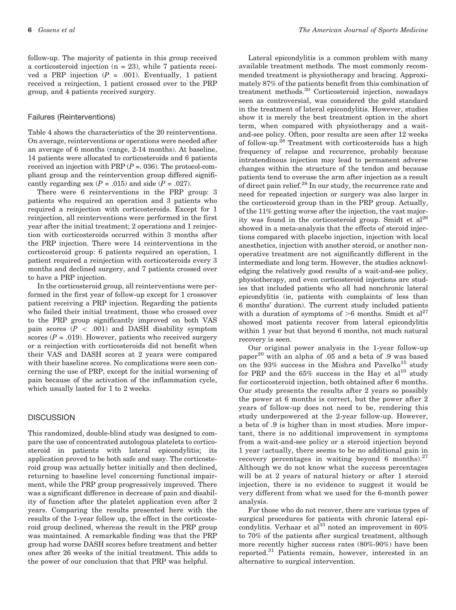follow-up. The majority of patients in this group received a corticosteroid injection (n = 23), while 7 patients received a PRP injection  $(P = .001)$ . Eventually, 1 patient received a reinjection, 1 patient crossed over to the PRP group, and 4 patients received surgery.

### Failures (Reinterventions)

Table 4 shows the characteristics of the 20 reinterventions. On average, reinterventions or operations were needed after an average of 6 months (range, 2-14 months). At baseline, 14 patients were allocated to corticosteroids and 6 patients received an injection with PRP  $(P = 0.036)$ . The protocol-compliant group and the reintervention group differed significantly regarding sex  $(P = .015)$  and side  $(P = .027)$ .

There were 6 reinterventions in the PRP group: 3 patients who required an operation and 3 patients who required a reinjection with corticosteroids. Except for 1 reinjection, all reinterventions were performed in the first year after the initial treatment; 2 operations and 1 reinjection with corticosteroids occurred within 3 months after the PRP injection. There were 14 reinterventions in the corticosteroid group: 6 patients required an operation, 1 patient required a reinjection with corticosteroids every 3 months and declined surgery, and 7 patients crossed over to have a PRP injection.

In the corticosteroid group, all reinterventions were performed in the first year of follow-up except for 1 crossover patient receiving a PRP injection. Regarding the patients who failed their initial treatment, those who crossed over to the PRP group significantly improved on both VAS pain scores ( $P \, < \, .001$ ) and DASH disability symptom scores ( $P = .019$ ). However, patients who received surgery or a reinjection with corticosteroids did not benefit when their VAS and DASH scores at 2 years were compared with their baseline scores. No complications were seen concerning the use of PRP, except for the initial worsening of pain because of the activation of the inflammation cycle, which usually lasted for 1 to 2 weeks.

# **DISCUSSION**

This randomized, double-blind study was designed to compare the use of concentrated autologous platelets to corticosteroid in patients with lateral epicondylitis; its application proved to be both safe and easy. The corticosteroid group was actually better initially and then declined, returning to baseline level concerning functional impairment, while the PRP group progressively improved. There was a significant difference in decrease of pain and disability of function after the platelet application even after 2 years. Comparing the results presented here with the results of the 1-year follow up, the effect in the corticosteroid group declined, whereas the result in the PRP group was maintained. A remarkable finding was that the PRP group had worse DASH scores before treatment and better ones after 26 weeks of the initial treatment. This adds to the power of our conclusion that that PRP was helpful.

Lateral epicondylitis is a common problem with many available treatment methods. The most commonly recommended treatment is physiotherapy and bracing. Approximately 87% of the patients benefit from this combination of treatment methods.<sup>30</sup> Corticosteroid injection, nowadays seen as controversial, was considered the gold standard in the treatment of lateral epicondylitis. However, studies show it is merely the best treatment option in the short term, when compared with physiotherapy and a waitand-see policy. Often, poor results are seen after 12 weeks of follow-up.<sup>28</sup> Treatment with corticosteroids has a high frequency of relapse and recurrence, probably because intratendinous injection may lead to permanent adverse changes within the structure of the tendon and because patients tend to overuse the arm after injection as a result of direct pain relief.<sup>28</sup> In our study, the recurrence rate and need for repeated injection or surgery was also larger in the corticosteroid group than in the PRP group. Actually, of the 11% getting worse after the injection, the vast majority was found in the corticosteroid group. Smidt et  $al^{26}$ showed in a meta-analysis that the effects of steroid injections compared with placebo injection, injection with local anesthetics, injection with another steroid, or another nonoperative treatment are not significantly different in the intermediate and long term. However, the studies acknowledging the relatively good results of a wait-and-see policy, physiotherapy, and even corticosteroid injections are studies that included patients who all had nonchronic lateral epicondylitis (ie, patients with complaints of less than 6 months' duration). The current study included patients with a duration of symptoms of  $>6$  months. Smidt et al<sup>27</sup> showed most patients recover from lateral epicondylitis within 1 year but that beyond 6 months, not much natural recovery is seen.

Our original power analysis in the 1-year follow-up paper<sup>20</sup> with an alpha of .05 and a beta of .9 was based on the 93% success in the Mishra and Pavelko<sup>15</sup> study for PRP and the  $65\%$  success in the Hay et al<sup>10</sup> study for corticosteroid injection, both obtained after 6 months. Our study presents the results after 2 years so possibly the power at 6 months is correct, but the power after 2 years of follow-up does not need to be, rendering this study underpowered at the 2-year follow-up. However, a beta of .9 is higher than in most studies. More important, there is no additional improvement in symptoms from a wait-and-see policy or a steroid injection beyond 1 year (actually, there seems to be no additional gain in recovery percentages in waiting beyond 6 months). $27$ Although we do not know what the success percentages will be at 2 years of natural history or after 1 steroid injection, there is no evidence to suggest it would be very different from what we used for the 6-month power analysis.

For those who do not recover, there are various types of surgical procedures for patients with chronic lateral epicondylitis. Verhaar et al $^{33}$  noted an improvement in 60% to 70% of the patients after surgical treatment, although more recently higher success rates (80%-90%) have been reported.<sup>31</sup> Patients remain, however, interested in an alternative to surgical intervention.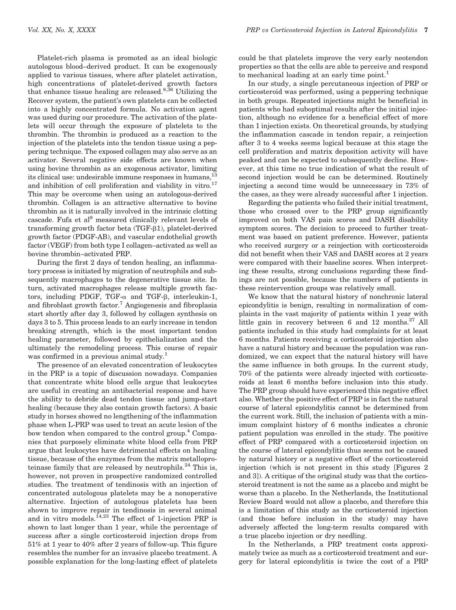Platelet-rich plasma is promoted as an ideal biologic autologous blood–derived product. It can be exogenously applied to various tissues, where after platelet activation, high concentrations of platelet-derived growth factors that enhance tissue healing are released.8,36 Utilizing the Recover system, the patient's own platelets can be collected into a highly concentrated formula. No activation agent was used during our procedure. The activation of the platelets will occur through the exposure of platelets to the thrombin. The thrombin is produced as a reaction to the injection of the platelets into the tendon tissue using a peppering technique. The exposed collagen may also serve as an activator. Several negative side effects are known when using bovine thrombin as an exogenous activator, limiting its clinical use: undesirable immune responses in humans,<sup>13</sup> and inhibition of cell proliferation and viability in vitro.<sup>17</sup> This may be overcome when using an autologous-derived thrombin. Collagen is an attractive alternative to bovine thrombin as it is naturally involved in the intrinsic clotting cascade. Fufa et al<sup>9</sup> measured clinically relevant levels of transforming growth factor beta (TGF- $\beta$ 1), platelet-derived growth factor (PDGF-AB), and vascular endothelial growth factor (VEGF) from both type I collagen–activated as well as bovine thrombin–activated PRP.

During the first 2 days of tendon healing, an inflammatory process is initiated by migration of neutrophils and subsequently macrophages to the degenerative tissue site. In turn, activated macrophages release multiple growth factors, including PDGF, TGF- $\alpha$  and TGF- $\beta$ , interleukin-1, and fibroblast growth factor.<sup>7</sup> Angiogenesis and fibroplasia start shortly after day 3, followed by collagen synthesis on days 3 to 5. This process leads to an early increase in tendon breaking strength, which is the most important tendon healing parameter, followed by epithelialization and the ultimately the remodeling process. This course of repair was confirmed in a previous animal study.1

The presence of an elevated concentration of leukocytes in the PRP is a topic of discussion nowadays. Companies that concentrate white blood cells argue that leukocytes are useful in creating an antibacterial response and have the ability to debride dead tendon tissue and jump-start healing (because they also contain growth factors). A basic study in horses showed no lengthening of the inflammation phase when L-PRP was used to treat an acute lesion of the bow tendon when compared to the control group.<sup>4</sup> Companies that purposely eliminate white blood cells from PRP argue that leukocytes have detrimental effects on healing tissue, because of the enzymes from the matrix metalloproteinase family that are released by neutrophils. $^{24}$  This is, however, not proven in prospective randomized controlled studies. The treatment of tendinosis with an injection of concentrated autologous platelets may be a nonoperative alternative. Injection of autologous platelets has been shown to improve repair in tendinosis in several animal and in vitro models. $14,23$  The effect of 1-injection PRP is shown to last longer than 1 year, while the percentage of success after a single corticosteroid injection drops from 51% at 1 year to 40% after 2 years of follow-up. This figure resembles the number for an invasive placebo treatment. A possible explanation for the long-lasting effect of platelets

could be that platelets improve the very early neotendon properties so that the cells are able to perceive and respond to mechanical loading at an early time point.<sup>1</sup>

In our study, a single percutaneous injection of PRP or corticosteroid was performed, using a peppering technique in both groups. Repeated injections might be beneficial in patients who had suboptimal results after the initial injection, although no evidence for a beneficial effect of more than 1 injection exists. On theoretical grounds, by studying the inflammation cascade in tendon repair, a reinjection after 3 to 4 weeks seems logical because at this stage the cell proliferation and matrix deposition activity will have peaked and can be expected to subsequently decline. However, at this time no true indication of what the result of second injection would be can be determined. Routinely injecting a second time would be unnecessary in 73% of the cases, as they were already successful after 1 injection.

Regarding the patients who failed their initial treatment, those who crossed over to the PRP group significantly improved on both VAS pain scores and DASH disability symptom scores. The decision to proceed to further treatment was based on patient preference. However, patients who received surgery or a reinjection with corticosteroids did not benefit when their VAS and DASH scores at 2 years were compared with their baseline scores. When interpreting these results, strong conclusions regarding these findings are not possible, because the numbers of patients in these reintervention groups was relatively small.

We know that the natural history of nonchronic lateral epicondylitis is benign, resulting in normalization of complaints in the vast majority of patients within 1 year with little gain in recovery between 6 and 12 months. $27$  All patients included in this study had complaints for at least 6 months. Patients receiving a corticosteroid injection also have a natural history and because the population was randomized, we can expect that the natural history will have the same influence in both groups. In the current study, 70% of the patients were already injected with corticosteroids at least 6 months before inclusion into this study. The PRP group should have experienced this negative effect also. Whether the positive effect of PRP is in fact the natural course of lateral epicondylitis cannot be determined from the current work. Still, the inclusion of patients with a minimum complaint history of 6 months indicates a chronic patient population was enrolled in the study. The positive effect of PRP compared with a corticosteroid injection on the course of lateral epicondylitis thus seems not be caused by natural history or a negative effect of the corticosteroid injection (which is not present in this study [Figures 2 and 3]). A critique of the original study was that the corticosteroid treatment is not the same as a placebo and might be worse than a placebo. In the Netherlands, the Institutional Review Board would not allow a placebo, and therefore this is a limitation of this study as the corticosteroid injection (and those before inclusion in the study) may have adversely affected the long-term results compared with a true placebo injection or dry needling.

In the Netherlands, a PRP treatment costs approximately twice as much as a corticosteroid treatment and surgery for lateral epicondylitis is twice the cost of a PRP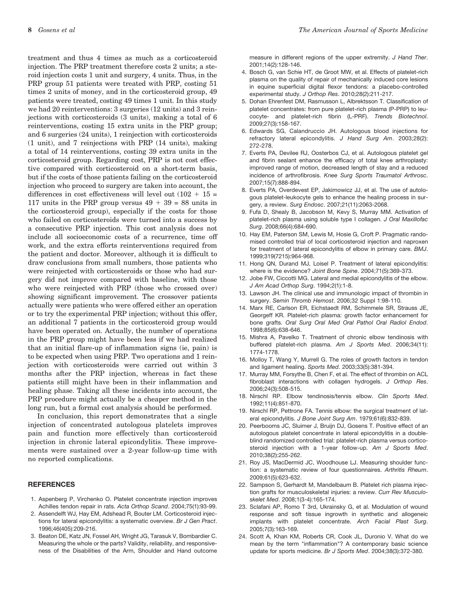treatment and thus 4 times as much as a corticosteroid injection. The PRP treatment therefore costs 2 units; a steroid injection costs 1 unit and surgery, 4 units. Thus, in the PRP group 51 patients were treated with PRP, costing 51 times 2 units of money, and in the corticosteroid group, 49 patients were treated, costing 49 times 1 unit. In this study we had 20 reinterventions: 3 surgeries (12 units) and 3 reinjections with corticosteroids (3 units), making a total of 6 reinterventions, costing 15 extra units in the PRP group; and 6 surgeries (24 units), 1 reinjection with corticosteroids (1 unit), and 7 reinjections with PRP (14 units), making a total of 14 reinterventions, costing 39 extra units in the corticosteroid group. Regarding cost, PRP is not cost effective compared with corticosteroid on a short-term basis, but if the costs of those patients failing on the corticosteroid injection who proceed to surgery are taken into account, the differences in cost effectiveness will level out  $(102 + 15 =$ 117 units in the PRP group versus  $49 + 39 = 88$  units in the corticosteroid group), especially if the costs for those who failed on corticosteroids were turned into a success by a consecutive PRP injection. This cost analysis does not include all socioeconomic costs of a recurrence, time off work, and the extra efforts reinterventions required from the patient and doctor. Moreover, although it is difficult to draw conclusions from small numbers, those patients who were reinjected with corticosteroids or those who had surgery did not improve compared with baseline, with those who were reinjected with PRP (those who crossed over) showing significant improvement. The crossover patients actually were patients who were offered either an operation or to try the experimental PRP injection; without this offer, an additional 7 patients in the corticosteroid group would have been operated on. Actually, the number of operations in the PRP group might have been less if we had realized that an initial flare-up of inflammation signs (ie, pain) is to be expected when using PRP. Two operations and 1 reinjection with corticosteroids were carried out within 3 months after the PRP injection, whereas in fact these patients still might have been in their inflammation and healing phase. Taking all these incidents into account, the PRP procedure might actually be a cheaper method in the long run, but a formal cost analysis should be performed.

In conclusion, this report demonstrates that a single injection of concentrated autologous platelets improves pain and function more effectively than corticosteroid injection in chronic lateral epicondylitis. These improvements were sustained over a 2-year follow-up time with no reported complications.

#### **REFERENCES**

- 1. Aspenberg P, Virchenko O. Platelet concentrate injection improves Achilles tendon repair in rats. *Acta Orthop Scand*. 2004;75(1):93-99.
- 2. Assendelft WJ, Hay EM, Adshead R, Bouter LM. Corticosteroid injections for lateral epicondylitis: a systematic overview. *Br J Gen Pract*. 1996;46(405):209-216.
- 3. Beaton DE, Katz JN, Fossel AH, Wright JG, Tarasuk V, Bombardier C. Measuring the whole or the parts? Validity, reliability, and responsiveness of the Disabilities of the Arm, Shoulder and Hand outcome

measure in different regions of the upper extremity. *J Hand Ther*. 2001;14(2):128-146.

- 4. Bosch G, van Schie HT, de Groot MW, et al. Effects of platelet-rich plasma on the quality of repair of mechanically induced core lesions in equine superficial digital flexor tendons: a placebo-controlled experimental study. *J Orthop Res*. 2010;28(2):211-217.
- 5. Dohan Ehrenfest DM, Rasmusson L, Albrektsson T. Classification of platelet concentrates: from pure platelet-rich plasma (P-PRP) to leucocyte- and platelet-rich fibrin (L-PRF). *Trends Biotechnol*. 2009;27(3):158-167.
- 6. Edwards SG, Calandruccio JH. Autologous blood injections for refractory lateral epicondylitis. *J Hand Surg Am*. 2003;28(2): 272-278.
- 7. Everts PA, Devilee RJ, Oosterbos CJ, et al. Autologous platelet gel and fibrin sealant enhance the efficacy of total knee arthroplasty: improved range of motion, decreased length of stay and a reduced incidence of arthrofibrosis. *Knee Surg Sports Traumatol Arthrosc*. 2007;15(7):888-894.
- 8. Everts PA, Overdevest EP, Jakimowicz JJ, et al. The use of autologous platelet-leukocyte gels to enhance the healing process in surgery, a review. *Surg Endosc*. 2007;21(11):2063-2068.
- 9. Fufa D, Shealy B, Jacobson M, Kevy S, Murray MM. Activation of platelet-rich plasma using soluble type I collagen. *J Oral Maxillofac Surg*. 2008;66(4):684-690.
- 10. Hay EM, Paterson SM, Lewis M, Hosie G, Croft P. Pragmatic randomised controlled trial of local corticosteroid injection and naproxen for treatment of lateral epicondylitis of elbow in primary care. *BMJ*. 1999;319(7215):964-968.
- 11. Hong QN, Durand MJ, Loisel P. Treatment of lateral epicondylitis: where is the evidence? *Joint Bone Spine*. 2004;71(5):369-373.
- 12. Jobe FW, Ciccotti MG. Lateral and medial epicondylitis of the elbow. *J Am Acad Orthop Surg*. 1994;2(1):1-8.
- 13. Lawson JH. The clinical use and immunologic impact of thrombin in surgery. *Semin Thromb Hemost*. 2006;32 Suppl 1:98-110.
- 14. Marx RE, Carlson ER, Eichstaedt RM, Schimmele SR, Strauss JE, Georgeff KR. Platelet-rich plasma: growth factor enhancement for bone grafts. *Oral Surg Oral Med Oral Pathol Oral Radiol Endod*. 1998;85(6):638-646.
- 15. Mishra A, Pavelko T. Treatment of chronic elbow tendinosis with buffered platelet-rich plasma. *Am J Sports Med*. 2006;34(11): 1774-1778.
- 16. Molloy T, Wang Y, Murrell G. The roles of growth factors in tendon and ligament healing. *Sports Med*. 2003;33(5):381-394.
- 17. Murray MM, Forsythe B, Chen F, et al. The effect of thrombin on ACL fibroblast interactions with collagen hydrogels. *J Orthop Res*. 2006;24(3):508-515.
- 18. Nirschl RP. Elbow tendinosis/tennis elbow. *Clin Sports Med*. 1992;11(4):851-870.
- 19. Nirschl RP, Pettrone FA. Tennis elbow: the surgical treatment of lateral epicondylitis. *J Bone Joint Surg Am*. 1979;61(6):832-839.
- 20. Peerbooms JC, Sluimer J, Bruijn DJ, Gosens T. Positive effect of an autologous platelet concentrate in lateral epicondylitis in a doubleblind randomized controlled trial: platelet-rich plasma versus corticosteroid injection with a 1-year follow-up. *Am J Sports Med*. 2010;38(2):255-262.
- 21. Roy JS, MacDermid JC, Woodhouse LJ. Measuring shoulder function: a systematic review of four questionnaires. *Arthritis Rheum*. 2009;61(5):623-632.
- 22. Sampson S, Gerhardt M, Mandelbaum B. Platelet rich plasma injection grafts for musculoskeletal injuries: a review. *Curr Rev Musculoskelet Med*. 2008;1(3-4):165-174.
- 23. Sclafani AP, Romo T 3rd, Ukrainsky G, et al. Modulation of wound response and soft tissue ingrowth in synthetic and allogeneic implants with platelet concentrate. *Arch Facial Plast Surg*. 2005;7(3):163-169.
- 24. Scott A, Khan KM, Roberts CR, Cook JL, Duronio V. What do we mean by the term "inflammation"? A contemporary basic science update for sports medicine. *Br J Sports Med*. 2004;38(3):372-380.